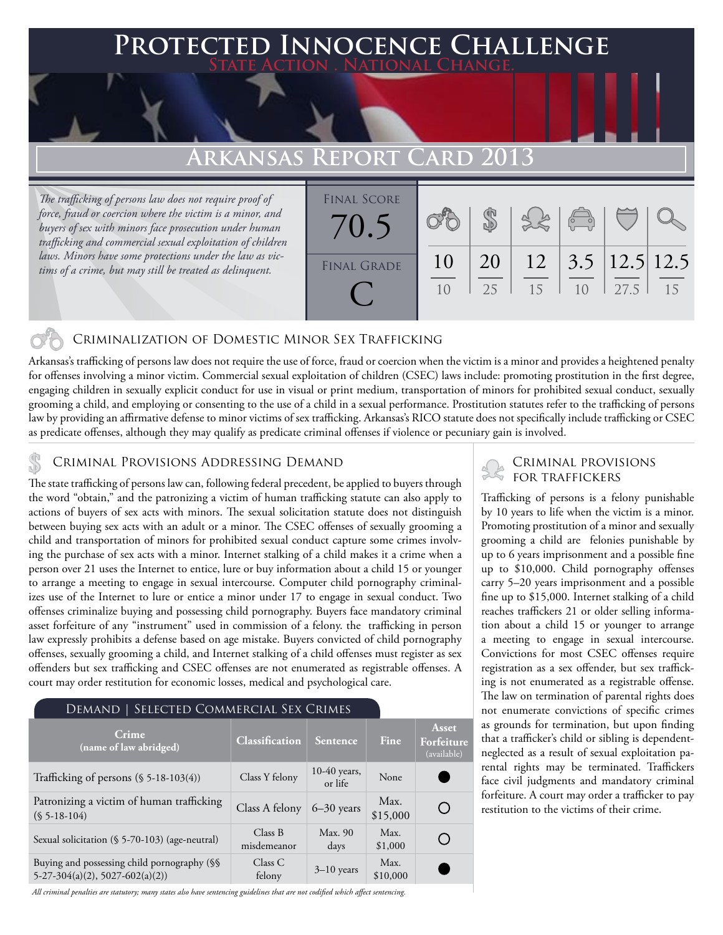### **Protected Innocence Challenge State Action . National Change.**

# **Arkansas Report Card 2013**

*The trafficking of persons law does not require proof of force, fraud or coercion where the victim is a minor, and buyers of sex with minors face prosecution under human trafficking and commercial sexual exploitation of children laws. Minors have some protections under the law as victims of a crime, but may still be treated as delinquent.*

| <b>FINAL SCORE</b><br>$\sqrt{0.5}$ |                |    |    | $\sqrt{2}$                        |      |    |
|------------------------------------|----------------|----|----|-----------------------------------|------|----|
| <b>FINAL GRADE</b>                 | 10             | 20 |    | $12 \mid 3.5 \mid 12.5 \mid 12.5$ |      |    |
|                                    | 1 <sub>0</sub> | 25 | 15 | 1 <sub>0</sub>                    | 27.5 | 15 |

### Criminalization of Domestic Minor Sex Trafficking

Arkansas's trafficking of persons law does not require the use of force, fraud or coercion when the victim is a minor and provides a heightened penalty for offenses involving a minor victim. Commercial sexual exploitation of children (CSEC) laws include: promoting prostitution in the first degree, engaging children in sexually explicit conduct for use in visual or print medium, transportation of minors for prohibited sexual conduct, sexually grooming a child, and employing or consenting to the use of a child in a sexual performance. Prostitution statutes refer to the trafficking of persons law by providing an affirmative defense to minor victims of sex trafficking. Arkansas's RICO statute does not specifically include trafficking or CSEC as predicate offenses, although they may qualify as predicate criminal offenses if violence or pecuniary gain is involved.

# CRIMINAL PROVISIONS ADDRESSING DEMAND<br>The state trafficking of persons law can following federal procedent, be applied to buyers through FOR TRAFFICKERS

The state trafficking of persons law can, following federal precedent, be applied to buyers through the word "obtain," and the patronizing a victim of human trafficking statute can also apply to actions of buyers of sex acts with minors. The sexual solicitation statute does not distinguish between buying sex acts with an adult or a minor. The CSEC offenses of sexually grooming a child and transportation of minors for prohibited sexual conduct capture some crimes involving the purchase of sex acts with a minor. Internet stalking of a child makes it a crime when a person over 21 uses the Internet to entice, lure or buy information about a child 15 or younger to arrange a meeting to engage in sexual intercourse. Computer child pornography criminalizes use of the Internet to lure or entice a minor under 17 to engage in sexual conduct. Two offenses criminalize buying and possessing child pornography. Buyers face mandatory criminal asset forfeiture of any "instrument" used in commission of a felony. the trafficking in person law expressly prohibits a defense based on age mistake. Buyers convicted of child pornography offenses, sexually grooming a child, and Internet stalking of a child offenses must register as sex offenders but sex trafficking and CSEC offenses are not enumerated as registrable offenses. A court may order restitution for economic losses, medical and psychological care.

| DEMAND   SELECTED COMMERCIAL SEX CRIMES                                          |                        |                           |                  |                                    |
|----------------------------------------------------------------------------------|------------------------|---------------------------|------------------|------------------------------------|
| Crime<br>(name of law abridged)                                                  | Classification         | Sentence                  | Fine             | Asset<br>Forfeiture<br>(available) |
| Trafficking of persons $(\$ 5-18-103(4))$                                        | Class Y felony         | $10-40$ years,<br>or life | None             |                                    |
| Patronizing a victim of human trafficking<br>$(S 5-18-104)$                      | Class A felony         | $6-30$ years              | Max.<br>\$15,000 | ( )                                |
| Sexual solicitation (§ 5-70-103) (age-neutral)                                   | Class B<br>misdemeanor | Max. 90<br>days           | Max.<br>\$1,000  |                                    |
| Buying and possessing child pornography (§§<br>$5-27-304(a)(2), 5027-602(a)(2))$ | Class C<br>felony      | $3-10$ years              | Max.<br>\$10,000 |                                    |

*All criminal penalties are statutory; many states also have sentencing guidelines that are not codified which affect sentencing.* 

Trafficking of persons is a felony punishable by 10 years to life when the victim is a minor. Promoting prostitution of a minor and sexually grooming a child are felonies punishable by up to 6 years imprisonment and a possible fine up to \$10,000. Child pornography offenses carry 5–20 years imprisonment and a possible fine up to \$15,000. Internet stalking of a child reaches traffickers 21 or older selling information about a child 15 or younger to arrange a meeting to engage in sexual intercourse. Convictions for most CSEC offenses require registration as a sex offender, but sex trafficking is not enumerated as a registrable offense. The law on termination of parental rights does not enumerate convictions of specific crimes as grounds for termination, but upon finding that a trafficker's child or sibling is dependentneglected as a result of sexual exploitation parental rights may be terminated. Traffickers face civil judgments and mandatory criminal forfeiture. A court may order a trafficker to pay restitution to the victims of their crime.